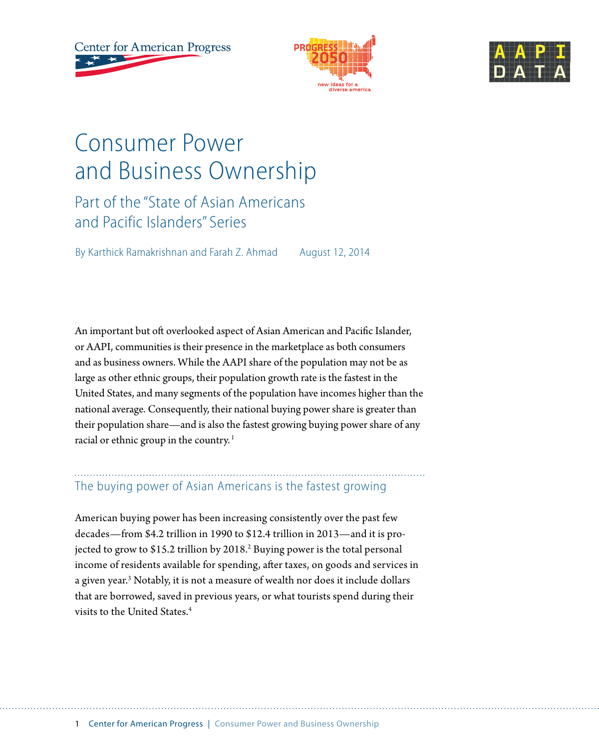**Center for American Progress** 





# Consumer Power and Business Ownership

Part of the "State of Asian Americans and Pacific Islanders" Series

By Karthick Ramakrishnan and Farah Z. Ahmad August 12, 2014

An important but oft overlooked aspect of Asian American and Pacific Islander, or AAPI, communities is their presence in the marketplace as both consumers and as business owners. While the AAPI share of the population may not be as large as other ethnic groups, their population growth rate is the fastest in the United States, and many segments of the population have incomes higher than the national average. Consequently, their national buying power share is greater than their population share—and is also the fastest growing buying power share of any racial or ethnic group in the country.<sup>1</sup>

## The buying power of Asian Americans is the fastest growing

American buying power has been increasing consistently over the past few decades—from \$4.2 trillion in 1990 to \$12.4 trillion in 2013—and it is projected to grow to \$15.2 trillion by 2018.<sup>2</sup> Buying power is the total personal income of residents available for spending, after taxes, on goods and services in a given year.<sup>3</sup> Notably, it is not a measure of wealth nor does it include dollars that are borrowed, saved in previous years, or what tourists spend during their visits to the United States<sup>4</sup>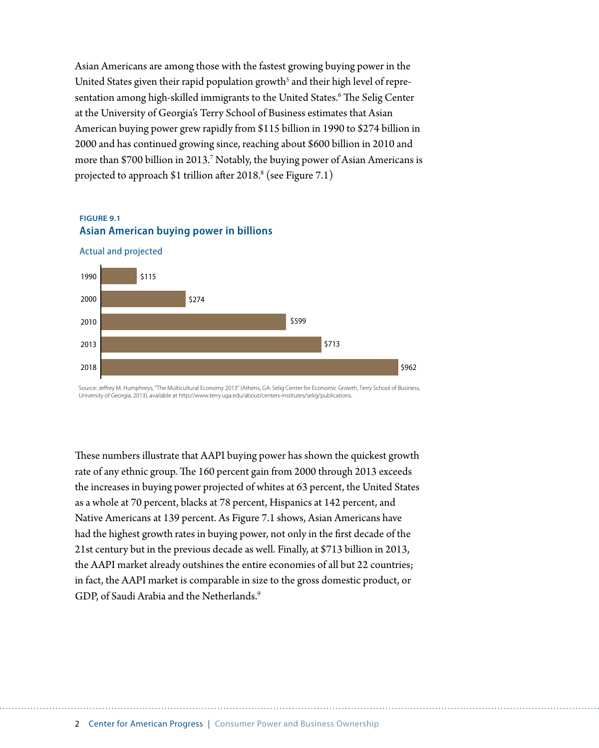Asian Americans are among those with the fastest growing buying power in the United States given their rapid population growth $^{\rm 5}$  and their high level of representation among high-skilled immigrants to the United States.<sup>6</sup> The Selig Center at the University of Georgia's Terry School of Business estimates that Asian American buying power grew rapidly from \$115 billion in 1990 to \$274 billion in 2000 and has continued growing since, reaching about \$600 billion in 2010 and more than \$700 billion in 2013.7 Notably, the buying power of Asian Americans is projected to approach \$1 trillion after 2018. $^{\text{8}}$  (see Figure 7.1)

#### **FIGURE 9.1 Asian American buying power in billions**

2018



Source: Jerey M. Humphreys, "The Multicultural Economy 2013" (Athens, GA: Selig Center for Economic Growth, Terry School of Business, University of Georgia, 2013), available at http://www.terry.uga.edu/about/centers-institutes/selig/publications.

\$962

These numbers illustrate that AAPI buying power has shown the quickest growth rate of any ethnic group. The 160 percent gain from 2000 through 2013 exceeds the increases in buying power projected of whites at 63 percent, the United States as a whole at 70 percent, blacks at 78 percent, Hispanics at 142 percent, and Native Americans at 139 percent. As Figure 7.1 shows, Asian Americans have had the highest growth rates in buying power, not only in the first decade of the 21st century but in the previous decade as well. Finally, at \$713 billion in 2013, the AAPI market already outshines the entire economies of all but 22 countries; in fact, the AAPI market is comparable in size to the gross domestic product, or GDP, of Saudi Arabia and the Netherlands.<sup>9</sup>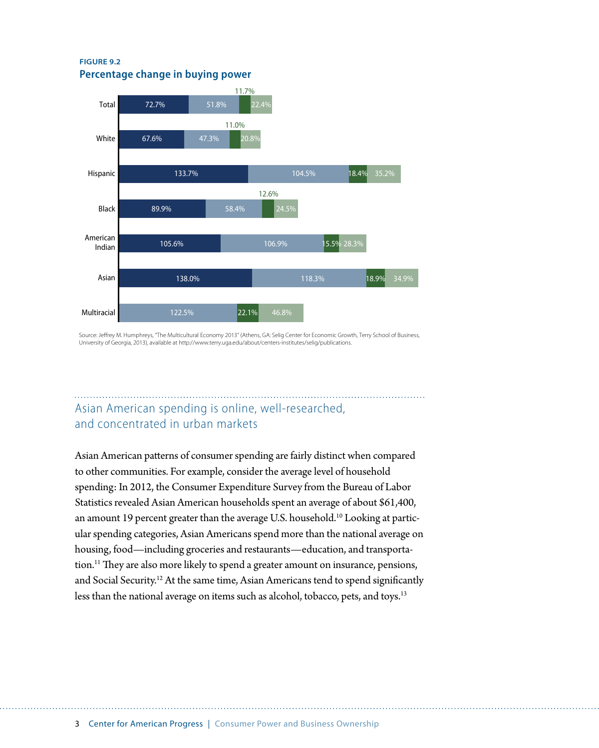**FIGURE 9.2 Percentage change in buying power**



Source: Jerey M. Humphreys, "The Multicultural Economy 2013" (Athens, GA: Selig Center for Economic Growth, Terry School of Business, University of Georgia, 2013), available at http://www.terry.uga.edu/about/centers-institutes/selig/publications.

## Asian American spending is online, well-researched, and concentrated in urban markets

Asian American patterns of consumer spending are fairly distinct when compared to other communities. For example, consider the average level of household spending: In 2012, the Consumer Expenditure Survey from the Bureau of Labor Statistics revealed Asian American households spent an average of about \$61,400, an amount 19 percent greater than the average U.S. household.<sup>10</sup> Looking at particular spending categories, Asian Americans spend more than the national average on housing, food—including groceries and restaurants—education, and transportation.<sup>11</sup> They are also more likely to spend a greater amount on insurance, pensions, and Social Security.12 At the same time, Asian Americans tend to spend significantly less than the national average on items such as alcohol, tobacco, pets, and toys.<sup>13</sup>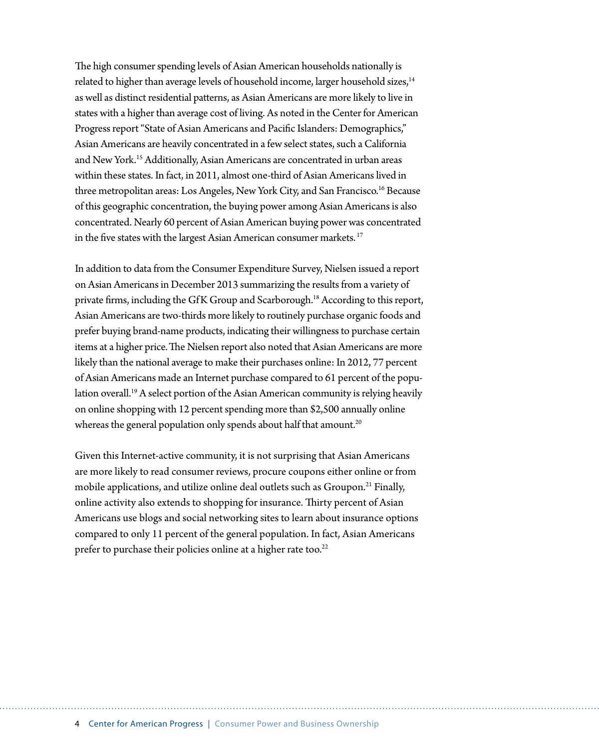The high consumer spending levels of Asian American households nationally is related to higher than average levels of household income, larger household sizes,<sup>14</sup> as well as distinct residential patterns, as Asian Americans are more likely to live in states with a higher than average cost of living. As noted in the Center for American Progress report "State of Asian Americans and Pacific Islanders: Demographics," Asian Americans are heavily concentrated in a few select states, such a California and New York.15 Additionally, Asian Americans are concentrated in urban areas within these states. In fact, in 2011, almost one-third of Asian Americans lived in three metropolitan areas: Los Angeles, New York City, and San Francisco.<sup>16</sup> Because of this geographic concentration, the buying power among Asian Americans is also concentrated. Nearly 60 percent of Asian American buying power was concentrated in the five states with the largest Asian American consumer markets.<sup>17</sup>

In addition to data from the Consumer Expenditure Survey, Nielsen issued a report on Asian Americans in December 2013 summarizing the results from a variety of private firms, including the GfK Group and Scarborough.<sup>18</sup> According to this report, Asian Americans are two-thirds more likely to routinely purchase organic foods and prefer buying brand-name products, indicating their willingness to purchase certain items at a higher price.The Nielsen report also noted that Asian Americans are more likely than the national average to make their purchases online: In 2012, 77 percent of Asian Americans made an Internet purchase compared to 61 percent of the population overall.<sup>19</sup> A select portion of the Asian American community is relying heavily on online shopping with 12 percent spending more than \$2,500 annually online whereas the general population only spends about half that amount.<sup>20</sup>

Given this Internet-active community, it is not surprising that Asian Americans are more likely to read consumer reviews, procure coupons either online or from mobile applications, and utilize online deal outlets such as Groupon.<sup>21</sup> Finally, online activity also extends to shopping for insurance. Thirty percent of Asian Americans use blogs and social networking sites to learn about insurance options compared to only 11 percent of the general population. In fact, Asian Americans prefer to purchase their policies online at a higher rate too.<sup>22</sup>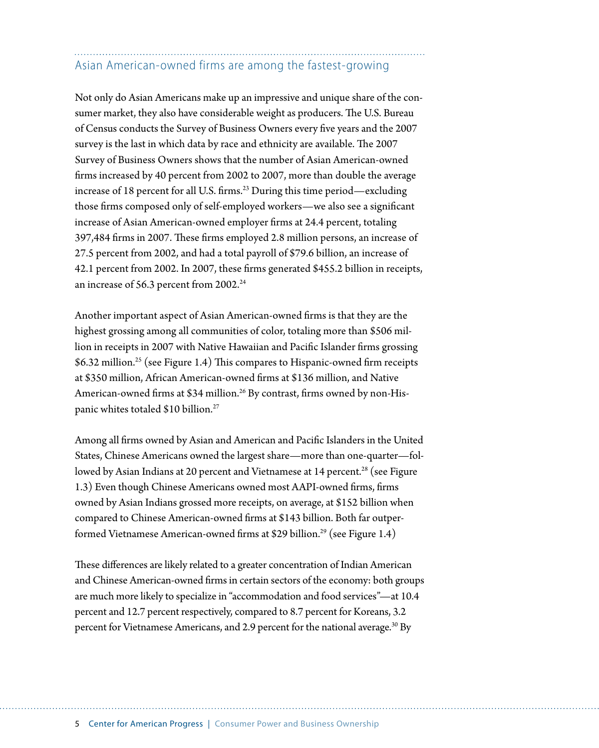## Asian American-owned firms are among the fastest-growing

Not only do Asian Americans make up an impressive and unique share of the consumer market, they also have considerable weight as producers. The U.S. Bureau of Census conducts the Survey of Business Owners every five years and the 2007 survey is the last in which data by race and ethnicity are available. The 2007 Survey of Business Owners shows that the number of Asian American-owned firms increased by 40 percent from 2002 to 2007, more than double the average increase of 18 percent for all U.S. firms.<sup>23</sup> During this time period—excluding those firms composed only of self-employed workers—we also see a significant increase of Asian American-owned employer firms at 24.4 percent, totaling 397,484 firms in 2007. These firms employed 2.8 million persons, an increase of 27.5 percent from 2002, and had a total payroll of \$79.6 billion, an increase of 42.1 percent from 2002. In 2007, these firms generated \$455.2 billion in receipts, an increase of 56.3 percent from 2002.<sup>24</sup>

Another important aspect of Asian American-owned firms is that they are the highest grossing among all communities of color, totaling more than \$506 million in receipts in 2007 with Native Hawaiian and Pacific Islander firms grossing \$6.32 million.<sup>25</sup> (see Figure 1.4) This compares to Hispanic-owned firm receipts at \$350 million, African American-owned firms at \$136 million, and Native American-owned firms at \$34 million.<sup>26</sup> By contrast, firms owned by non-Hispanic whites totaled \$10 billion.<sup>27</sup>

Among all firms owned by Asian and American and Pacific Islanders in the United States, Chinese Americans owned the largest share—more than one-quarter—followed by Asian Indians at 20 percent and Vietnamese at 14 percent.<sup>28</sup> (see Figure 1.3) Even though Chinese Americans owned most AAPI-owned firms, firms owned by Asian Indians grossed more receipts, on average, at \$152 billion when compared to Chinese American-owned firms at \$143 billion. Both far outperformed Vietnamese American-owned firms at \$29 billion.29 (see Figure 1.4)

These differences are likely related to a greater concentration of Indian American and Chinese American-owned firms in certain sectors of the economy: both groups are much more likely to specialize in "accommodation and food services"—at 10.4 percent and 12.7 percent respectively, compared to 8.7 percent for Koreans, 3.2 percent for Vietnamese Americans, and 2.9 percent for the national average.<sup>30</sup> By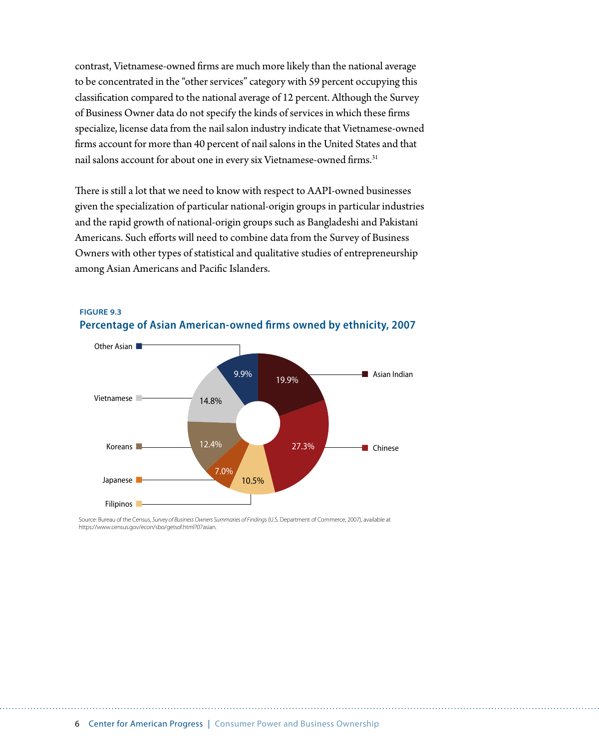contrast, Vietnamese-owned firms are much more likely than the national average to be concentrated in the "other services" category with 59 percent occupying this classification compared to the national average of 12 percent. Although the Survey of Business Owner data do not specify the kinds of services in which these firms specialize, license data from the nail salon industry indicate that Vietnamese-owned firms account for more than 40 percent of nail salons in the United States and that nail salons account for about one in every six Vietnamese-owned firms.<sup>31</sup>

There is still a lot that we need to know with respect to AAPI-owned businesses given the specialization of particular national-origin groups in particular industries and the rapid growth of national-origin groups such as Bangladeshi and Pakistani Americans. Such efforts will need to combine data from the Survey of Business Owners with other types of statistical and qualitative studies of entrepreneurship among Asian Americans and Pacific Islanders.



**FIGURE 9.3 Percentage of Asian American-owned firms owned by ethnicity, 2007**

Source: Bureau of the Census, *Survey of Business Owners Summaries of Findings* (U.S. Department of Commerce, 2007), available at https://www.census.gov/econ/sbo/getsof.html?07asian.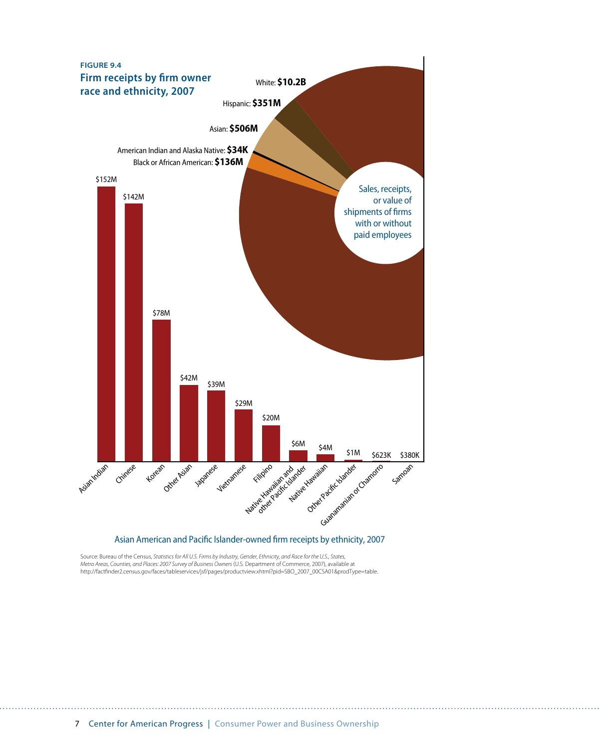

Asian American and Pacific Islander-owned firm receipts by ethnicity, 2007

Source: Bureau of the Census, *Statistics for All U.S. Firms by Industry, Gender, Ethnicity, and Race for the U.S., States,*  Metro Areas, Counties, and Places: 2007 Survey of Business Owners (U.S. Department of Commerce, 2007), available at<br>http://factfinder2.census.gov/faces/tableservices/jsf/pages/productview.xhtml?pid=SBO\_2007\_00CSA01&prodTyp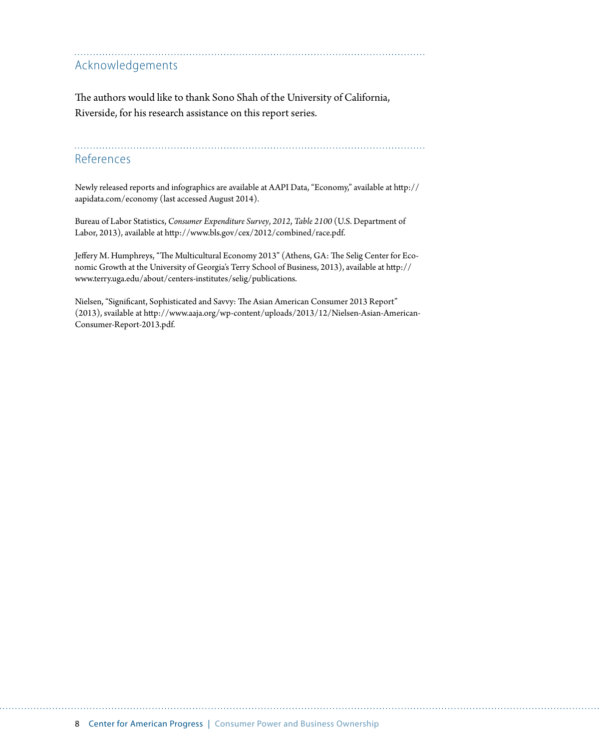#### Acknowledgements

The authors would like to thank Sono Shah of the University of California, Riverside, for his research assistance on this report series.

References

Newly released reports and infographics are available at AAPI Data, "Economy," available at [http://](http://aapidata.com) [aapidata.com/](http://aapidata.com)economy (last accessed August 2014).

Bureau of Labor Statistics, *Consumer Expenditure Survey*, *2012*, *Table 2100* (U.S. Department of Labor, 2013), available at <http://www.bls.gov/cex/2012/combined/race.pdf>.

Jeffery M. Humphreys, "The Multicultural Economy 2013" (Athens, GA: The Selig Center for Economic Growth at the University of Georgia's Terry School of Business, 2013), available at http:// www.terry.uga.edu/about/centers-institutes/selig/publications.

Nielsen, "Significant, Sophisticated and Savvy: The Asian American Consumer 2013 Report" (2013), svailable at [http://www.aaja.org/wp-content/uploads/2013/12/Nielsen-Asian-American-](http://www.aaja.org/wp-content/uploads/2013/12/Nielsen-Asian-American-Consumer-Report-2013.pdf)[Consumer-Report-2013.pdf.](http://www.aaja.org/wp-content/uploads/2013/12/Nielsen-Asian-American-Consumer-Report-2013.pdf)